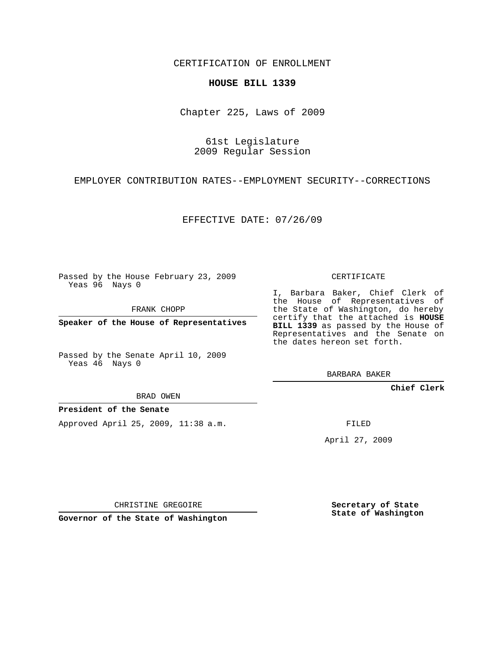CERTIFICATION OF ENROLLMENT

## **HOUSE BILL 1339**

Chapter 225, Laws of 2009

61st Legislature 2009 Regular Session

EMPLOYER CONTRIBUTION RATES--EMPLOYMENT SECURITY--CORRECTIONS

EFFECTIVE DATE: 07/26/09

Passed by the House February 23, 2009 Yeas 96 Nays 0

FRANK CHOPP

**Speaker of the House of Representatives**

Passed by the Senate April 10, 2009 Yeas 46 Nays 0

BRAD OWEN

## **President of the Senate**

Approved April 25, 2009, 11:38 a.m.

CERTIFICATE

I, Barbara Baker, Chief Clerk of the House of Representatives of the State of Washington, do hereby certify that the attached is **HOUSE BILL 1339** as passed by the House of Representatives and the Senate on the dates hereon set forth.

BARBARA BAKER

**Chief Clerk**

FILED

April 27, 2009

CHRISTINE GREGOIRE

**Governor of the State of Washington**

**Secretary of State State of Washington**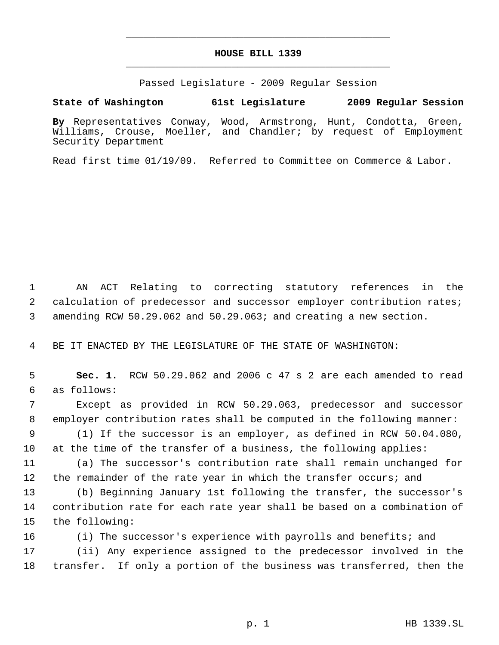## **HOUSE BILL 1339** \_\_\_\_\_\_\_\_\_\_\_\_\_\_\_\_\_\_\_\_\_\_\_\_\_\_\_\_\_\_\_\_\_\_\_\_\_\_\_\_\_\_\_\_\_

\_\_\_\_\_\_\_\_\_\_\_\_\_\_\_\_\_\_\_\_\_\_\_\_\_\_\_\_\_\_\_\_\_\_\_\_\_\_\_\_\_\_\_\_\_

Passed Legislature - 2009 Regular Session

**State of Washington 61st Legislature 2009 Regular Session**

**By** Representatives Conway, Wood, Armstrong, Hunt, Condotta, Green, Williams, Crouse, Moeller, and Chandler; by request of Employment Security Department

Read first time 01/19/09. Referred to Committee on Commerce & Labor.

 AN ACT Relating to correcting statutory references in the calculation of predecessor and successor employer contribution rates; amending RCW 50.29.062 and 50.29.063; and creating a new section.

BE IT ENACTED BY THE LEGISLATURE OF THE STATE OF WASHINGTON:

 **Sec. 1.** RCW 50.29.062 and 2006 c 47 s 2 are each amended to read as follows:

 Except as provided in RCW 50.29.063, predecessor and successor employer contribution rates shall be computed in the following manner:

 (1) If the successor is an employer, as defined in RCW 50.04.080, at the time of the transfer of a business, the following applies:

 (a) The successor's contribution rate shall remain unchanged for 12 the remainder of the rate year in which the transfer occurs; and

 (b) Beginning January 1st following the transfer, the successor's contribution rate for each rate year shall be based on a combination of the following:

(i) The successor's experience with payrolls and benefits; and

 (ii) Any experience assigned to the predecessor involved in the transfer. If only a portion of the business was transferred, then the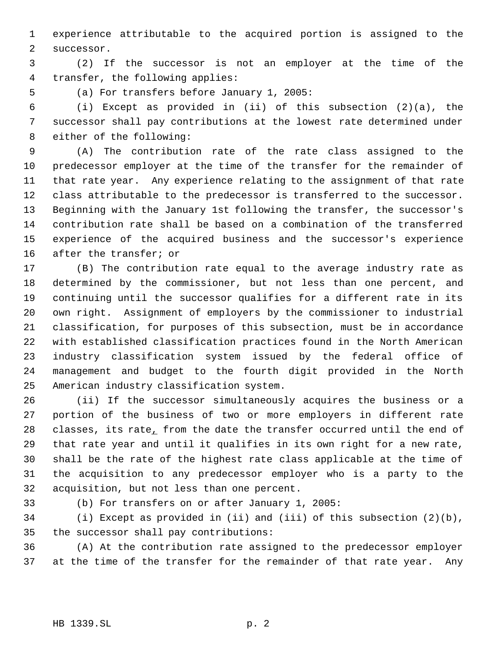experience attributable to the acquired portion is assigned to the successor.

 (2) If the successor is not an employer at the time of the transfer, the following applies:

(a) For transfers before January 1, 2005:

 (i) Except as provided in (ii) of this subsection (2)(a), the successor shall pay contributions at the lowest rate determined under either of the following:

 (A) The contribution rate of the rate class assigned to the predecessor employer at the time of the transfer for the remainder of that rate year. Any experience relating to the assignment of that rate class attributable to the predecessor is transferred to the successor. Beginning with the January 1st following the transfer, the successor's contribution rate shall be based on a combination of the transferred experience of the acquired business and the successor's experience after the transfer; or

 (B) The contribution rate equal to the average industry rate as determined by the commissioner, but not less than one percent, and continuing until the successor qualifies for a different rate in its own right. Assignment of employers by the commissioner to industrial classification, for purposes of this subsection, must be in accordance with established classification practices found in the North American industry classification system issued by the federal office of management and budget to the fourth digit provided in the North American industry classification system.

 (ii) If the successor simultaneously acquires the business or a portion of the business of two or more employers in different rate 28 classes, its rate, from the date the transfer occurred until the end of that rate year and until it qualifies in its own right for a new rate, shall be the rate of the highest rate class applicable at the time of the acquisition to any predecessor employer who is a party to the acquisition, but not less than one percent.

(b) For transfers on or after January 1, 2005:

 (i) Except as provided in (ii) and (iii) of this subsection (2)(b), the successor shall pay contributions:

 (A) At the contribution rate assigned to the predecessor employer at the time of the transfer for the remainder of that rate year. Any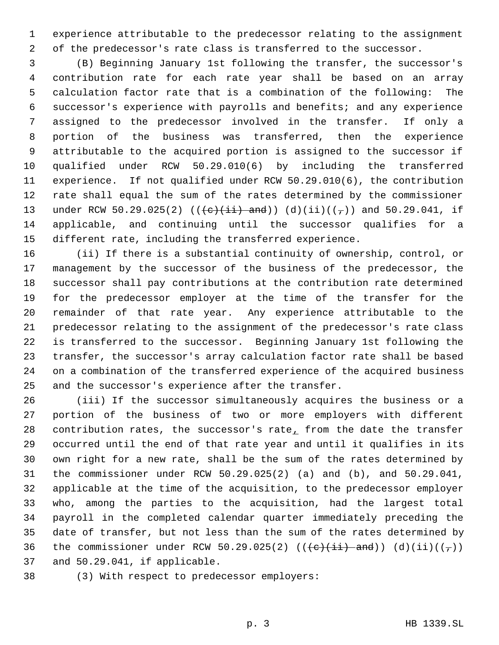experience attributable to the predecessor relating to the assignment of the predecessor's rate class is transferred to the successor.

 (B) Beginning January 1st following the transfer, the successor's contribution rate for each rate year shall be based on an array calculation factor rate that is a combination of the following: The successor's experience with payrolls and benefits; and any experience assigned to the predecessor involved in the transfer. If only a portion of the business was transferred, then the experience attributable to the acquired portion is assigned to the successor if qualified under RCW 50.29.010(6) by including the transferred experience. If not qualified under RCW 50.29.010(6), the contribution rate shall equal the sum of the rates determined by the commissioner 13 under RCW 50.29.025(2) (( $\left(\frac{e}{i} + \frac{1}{i} + \frac{1}{e}\right)$  and  $\left(\frac{1}{i}\right)$  (( $\frac{1}{i}$ )) and 50.29.041, if applicable, and continuing until the successor qualifies for a different rate, including the transferred experience.

 (ii) If there is a substantial continuity of ownership, control, or management by the successor of the business of the predecessor, the successor shall pay contributions at the contribution rate determined for the predecessor employer at the time of the transfer for the remainder of that rate year. Any experience attributable to the predecessor relating to the assignment of the predecessor's rate class is transferred to the successor. Beginning January 1st following the transfer, the successor's array calculation factor rate shall be based on a combination of the transferred experience of the acquired business and the successor's experience after the transfer.

 (iii) If the successor simultaneously acquires the business or a portion of the business of two or more employers with different 28 contribution rates, the successor's rate<sub> $L$ </sub> from the date the transfer occurred until the end of that rate year and until it qualifies in its own right for a new rate, shall be the sum of the rates determined by the commissioner under RCW 50.29.025(2) (a) and (b), and 50.29.041, applicable at the time of the acquisition, to the predecessor employer who, among the parties to the acquisition, had the largest total payroll in the completed calendar quarter immediately preceding the date of transfer, but not less than the sum of the rates determined by 36 the commissioner under RCW 50.29.025(2)  $((e+ii)-and)$   $(d)(ii)((\tau))$ and 50.29.041, if applicable.

(3) With respect to predecessor employers: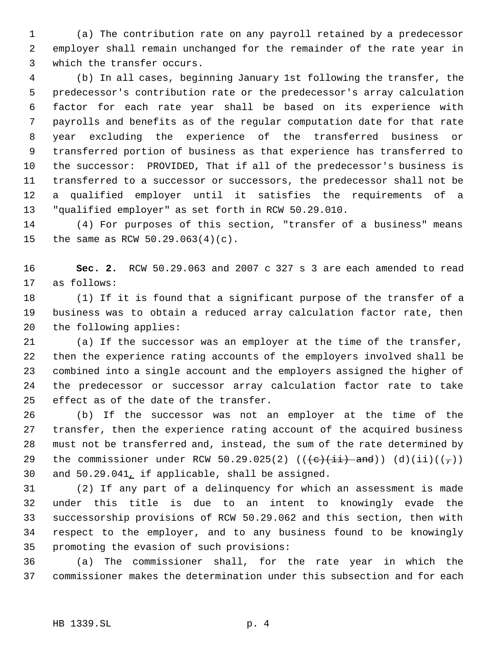(a) The contribution rate on any payroll retained by a predecessor employer shall remain unchanged for the remainder of the rate year in which the transfer occurs.

 (b) In all cases, beginning January 1st following the transfer, the predecessor's contribution rate or the predecessor's array calculation factor for each rate year shall be based on its experience with payrolls and benefits as of the regular computation date for that rate year excluding the experience of the transferred business or transferred portion of business as that experience has transferred to the successor: PROVIDED, That if all of the predecessor's business is transferred to a successor or successors, the predecessor shall not be a qualified employer until it satisfies the requirements of a "qualified employer" as set forth in RCW 50.29.010.

 (4) For purposes of this section, "transfer of a business" means the same as RCW 50.29.063(4)(c).

 **Sec. 2.** RCW 50.29.063 and 2007 c 327 s 3 are each amended to read as follows:

 (1) If it is found that a significant purpose of the transfer of a business was to obtain a reduced array calculation factor rate, then the following applies:

 (a) If the successor was an employer at the time of the transfer, then the experience rating accounts of the employers involved shall be combined into a single account and the employers assigned the higher of the predecessor or successor array calculation factor rate to take effect as of the date of the transfer.

 (b) If the successor was not an employer at the time of the transfer, then the experience rating account of the acquired business must not be transferred and, instead, the sum of the rate determined by 29 the commissioner under RCW 50.29.025(2)  $((e+ii)-and)$   $(d)(ii)((\tau))$ and 50.29.041, if applicable, shall be assigned.

 (2) If any part of a delinquency for which an assessment is made under this title is due to an intent to knowingly evade the successorship provisions of RCW 50.29.062 and this section, then with respect to the employer, and to any business found to be knowingly promoting the evasion of such provisions:

 (a) The commissioner shall, for the rate year in which the commissioner makes the determination under this subsection and for each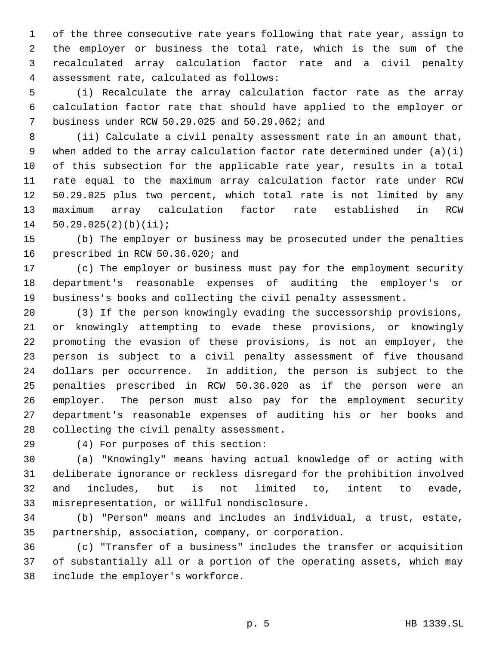of the three consecutive rate years following that rate year, assign to the employer or business the total rate, which is the sum of the recalculated array calculation factor rate and a civil penalty assessment rate, calculated as follows:

 (i) Recalculate the array calculation factor rate as the array calculation factor rate that should have applied to the employer or business under RCW 50.29.025 and 50.29.062; and

 (ii) Calculate a civil penalty assessment rate in an amount that, when added to the array calculation factor rate determined under (a)(i) of this subsection for the applicable rate year, results in a total rate equal to the maximum array calculation factor rate under RCW 50.29.025 plus two percent, which total rate is not limited by any maximum array calculation factor rate established in RCW 50.29.025(2)(b)(ii);

 (b) The employer or business may be prosecuted under the penalties prescribed in RCW 50.36.020; and

 (c) The employer or business must pay for the employment security department's reasonable expenses of auditing the employer's or business's books and collecting the civil penalty assessment.

 (3) If the person knowingly evading the successorship provisions, or knowingly attempting to evade these provisions, or knowingly promoting the evasion of these provisions, is not an employer, the person is subject to a civil penalty assessment of five thousand dollars per occurrence. In addition, the person is subject to the penalties prescribed in RCW 50.36.020 as if the person were an employer. The person must also pay for the employment security department's reasonable expenses of auditing his or her books and collecting the civil penalty assessment.

(4) For purposes of this section:

 (a) "Knowingly" means having actual knowledge of or acting with deliberate ignorance or reckless disregard for the prohibition involved and includes, but is not limited to, intent to evade, misrepresentation, or willful nondisclosure.

 (b) "Person" means and includes an individual, a trust, estate, partnership, association, company, or corporation.

 (c) "Transfer of a business" includes the transfer or acquisition of substantially all or a portion of the operating assets, which may include the employer's workforce.